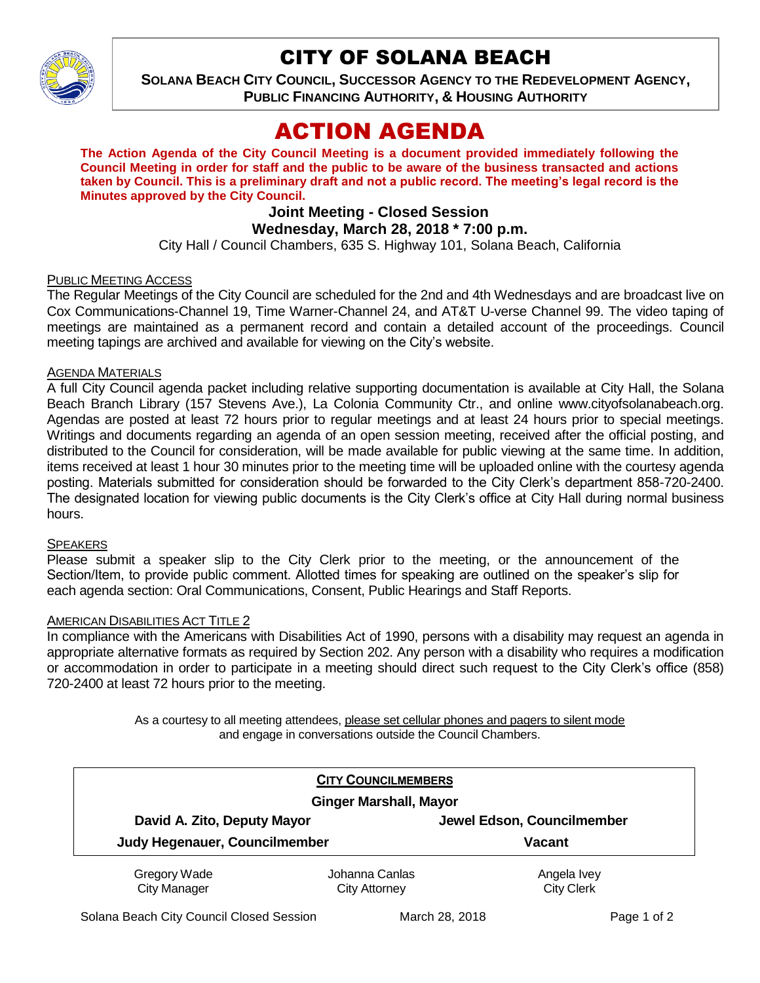

## CITY OF SOLANA BEACH

**SOLANA BEACH CITY COUNCIL, SUCCESSOR AGENCY TO THE REDEVELOPMENT AGENCY, PUBLIC FINANCING AUTHORITY, & HOUSING AUTHORITY** 

# ACTION AGENDA

**The Action Agenda of the City Council Meeting is a document provided immediately following the Council Meeting in order for staff and the public to be aware of the business transacted and actions taken by Council. This is a preliminary draft and not a public record. The meeting's legal record is the Minutes approved by the City Council.**

## **Joint Meeting - Closed Session**

## **Wednesday, March 28, 2018 \* 7:00 p.m.**

City Hall / Council Chambers, 635 S. Highway 101, Solana Beach, California

#### PUBLIC MEETING ACCESS

The Regular Meetings of the City Council are scheduled for the 2nd and 4th Wednesdays and are broadcast live on Cox Communications-Channel 19, Time Warner-Channel 24, and AT&T U-verse Channel 99. The video taping of meetings are maintained as a permanent record and contain a detailed account of the proceedings. Council meeting tapings are archived and available for viewing on the City's website.

#### AGENDA MATERIALS

A full City Council agenda packet including relative supporting documentation is available at City Hall, the Solana Beach Branch Library (157 Stevens Ave.), La Colonia Community Ctr., and online www.cityofsolanabeach.org. Agendas are posted at least 72 hours prior to regular meetings and at least 24 hours prior to special meetings. Writings and documents regarding an agenda of an open session meeting, received after the official posting, and distributed to the Council for consideration, will be made available for public viewing at the same time. In addition, items received at least 1 hour 30 minutes prior to the meeting time will be uploaded online with the courtesy agenda posting. Materials submitted for consideration should be forwarded to the City Clerk's department 858-720-2400. The designated location for viewing public documents is the City Clerk's office at City Hall during normal business hours.

#### SPEAKERS

Please submit a speaker slip to the City Clerk prior to the meeting, or the announcement of the Section/Item, to provide public comment. Allotted times for speaking are outlined on the speaker's slip for each agenda section: Oral Communications, Consent, Public Hearings and Staff Reports.

#### AMERICAN DISABILITIES ACT TITLE 2

In compliance with the Americans with Disabilities Act of 1990, persons with a disability may request an agenda in appropriate alternative formats as required by Section 202. Any person with a disability who requires a modification or accommodation in order to participate in a meeting should direct such request to the City Clerk's office (858) 720-2400 at least 72 hours prior to the meeting.

> As a courtesy to all meeting attendees, please set cellular phones and pagers to silent mode and engage in conversations outside the Council Chambers.

| <b>CITY COUNCILMEMBERS</b>                                   |                                        |                                  |
|--------------------------------------------------------------|----------------------------------------|----------------------------------|
| <b>Ginger Marshall, Mayor</b><br>David A. Zito, Deputy Mayor |                                        | Jewel Edson, Councilmember       |
| Judy Hegenauer, Councilmember                                |                                        | <b>Vacant</b>                    |
| Gregory Wade<br><b>City Manager</b>                          | Johanna Canlas<br><b>City Attorney</b> | Angela Ivey<br><b>City Clerk</b> |